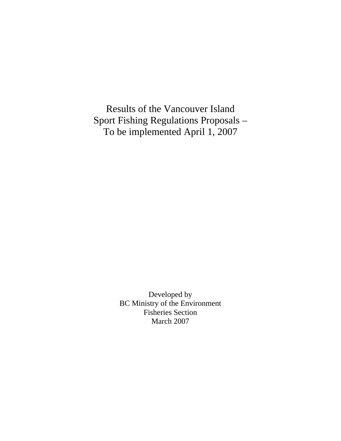Results of the Vancouver Island Sport Fishing Regulations Proposals – To be implemented April 1, 2007

> Developed by BC Ministry of the Environment Fisheries Section March 2007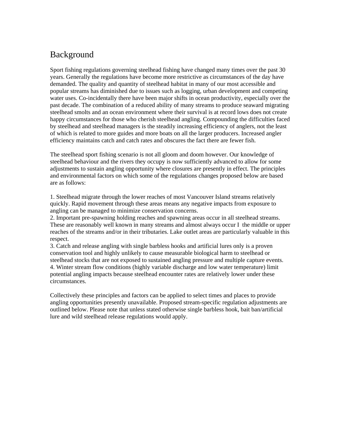## Background

Sport fishing regulations governing steelhead fishing have changed many times over the past 30 years. Generally the regulations have become more restrictive as circumstances of the day have demanded. The quality and quantity of steelhead habitat in many of our most accessible and popular streams has diminished due to issues such as logging, urban development and competing water uses. Co-incidentally there have been major shifts in ocean productivity, especially over the past decade. The combination of a reduced ability of many streams to produce seaward migrating steelhead smolts and an ocean environment where their survival is at record lows does not create happy circumstances for those who cherish steelhead angling. Compounding the difficulties faced by steelhead and steelhead managers is the steadily increasing efficiency of anglers, not the least of which is related to more guides and more boats on all the larger producers. Increased angler efficiency maintains catch and catch rates and obscures the fact there are fewer fish.

The steelhead sport fishing scenario is not all gloom and doom however. Our knowledge of steelhead behaviour and the rivers they occupy is now sufficiently advanced to allow for some adjustments to sustain angling opportunity where closures are presently in effect. The principles and environmental factors on which some of the regulations changes proposed below are based are as follows:

1. Steelhead migrate through the lower reaches of most Vancouver Island streams relatively quickly. Rapid movement through these areas means any negative impacts from exposure to angling can be managed to minimize conservation concerns.

2. Important pre-spawning holding reaches and spawning areas occur in all steelhead streams. These are reasonably well known in many streams and almost always occur I the middle or upper reaches of the streams and/or in their tributaries. Lake outlet areas are particularly valuable in this respect.

3. Catch and release angling with single barbless hooks and artificial lures only is a proven conservation tool and highly unlikely to cause measurable biological harm to steelhead or steelhead stocks that are not exposed to sustained angling pressure and multiple capture events. 4. Winter stream flow conditions (highly variable discharge and low water temperature) limit potential angling impacts because steelhead encounter rates are relatively lower under these circumstances.

Collectively these principles and factors can be applied to select times and places to provide angling opportunities presently unavailable. Proposed stream-specific regulation adjustments are outlined below. Please note that unless stated otherwise single barbless hook, bait ban/artificial lure and wild steelhead release regulations would apply.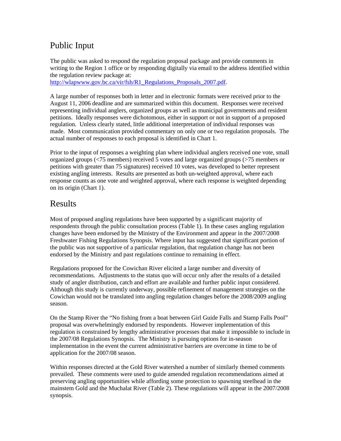## Public Input

The public was asked to respond the regulation proposal package and provide comments in writing to the Region 1 office or by responding digitally via email to the address identified within the regulation review package at:

[http://wlapwww.gov.bc.ca/vir/fsh/R1\\_Regulations\\_Proposals\\_2007.pdf](http://wlapwww.gov.bc.ca/vir/fsh/R1_Regulations_Proposals_2007.pdf).

A large number of responses both in letter and in electronic formats were received prior to the August 11, 2006 deadline and are summarized within this document. Responses were received representing individual anglers, organized groups as well as municipal governments and resident petitions. Ideally responses were dichotomous, either in support or not in support of a proposed regulation. Unless clearly stated, little additional interpretation of individual responses was made. Most communication provided commentary on only one or two regulation proposals. The actual number of responses to each proposal is identified in Chart 1.

Prior to the input of responses a weighting plan where individual anglers received one vote, small organized groups (<75 members) received 5 votes and large organized groups (>75 members or petitions with greater than 75 signatures) received 10 votes, was developed to better represent existing angling interests. Results are presented as both un-weighted approval, where each response counts as one vote and weighted approval, where each response is weighted depending on its origin (Chart 1).

## Results

Most of proposed angling regulations have been supported by a significant majority of respondents through the public consultation process (Table 1). In these cases angling regulation changes have been endorsed by the Ministry of the Environment and appear in the 2007/2008 Freshwater Fishing Regulations Synopsis. Where input has suggested that significant portion of the public was not supportive of a particular regulation, that regulation change has not been endorsed by the Ministry and past regulations continue to remaining in effect.

Regulations proposed for the Cowichan River elicited a large number and diversity of recommendations. Adjustments to the status quo will occur only after the results of a detailed study of angler distribution, catch and effort are available and further public input considered. Although this study is currently underway, possible refinement of management strategies on the Cowichan would not be translated into angling regulation changes before the 2008/2009 angling season.

On the Stamp River the "No fishing from a boat between Girl Guide Falls and Stamp Falls Pool" proposal was overwhelmingly endorsed by respondents. However implementation of this regulation is constrained by lengthy administrative processes that make it impossible to include in the 2007/08 Regulations Synopsis. The Ministry is pursuing options for in-season implementation in the event the current administrative barriers are overcome in time to be of application for the 2007/08 season.

Within responses directed at the Gold River watershed a number of similarly themed comments prevailed. These comments were used to guide amended regulation recommendations aimed at preserving angling opportunities while affording some protection to spawning steelhead in the mainstem Gold and the Muchalat River (Table 2). These regulations will appear in the 2007/2008 synopsis.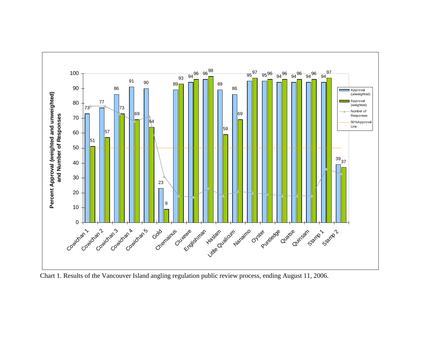

Chart 1. Results of the Vancouver Island angling regulation public review process, ending August 11, 2006.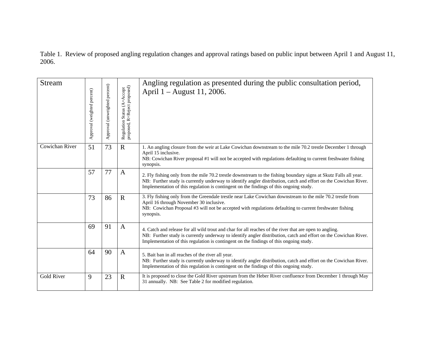Table 1. Review of proposed angling regulation changes and approval ratings based on public input between April 1 and August 11, 2006.

| <b>Stream</b>     | Approval (weighted percent) | Approval (unweighted percent) | Regulation Status (A=Accept<br>proposed, R=Reject proposed) | Angling regulation as presented during the public consultation period,<br>April 1 – August 11, 2006.                                                                                                                                                                                                                           |
|-------------------|-----------------------------|-------------------------------|-------------------------------------------------------------|--------------------------------------------------------------------------------------------------------------------------------------------------------------------------------------------------------------------------------------------------------------------------------------------------------------------------------|
| Cowichan River    | 51                          | 73                            | $\mathbf R$                                                 | 1. An angling closure from the weir at Lake Cowichan downstream to the mile 70.2 trestle December 1 through<br>April 15 inclusive.<br>NB: Cowichan River proposal #1 will not be accepted with regulations defaulting to current freshwater fishing<br>synopsis.                                                               |
|                   | 57                          | 77                            | A                                                           | 2. Fly fishing only from the mile 70.2 trestle downstream to the fishing boundary signs at Skutz Falls all year.<br>NB: Further study is currently underway to identify angler distribution, catch and effort on the Cowichan River.<br>Implementation of this regulation is contingent on the findings of this ongoing study. |
|                   | 73                          | 86                            | $\mathbf R$                                                 | 3. Fly fishing only from the Greendale trestle near Lake Cowichan downstream to the mile 70.2 trestle from<br>April 16 through November 30 inclusive.<br>NB: Cowichan Proposal #3 will not be accepted with regulations defaulting to current freshwater fishing<br>synopsis.                                                  |
|                   | 69                          | 91                            | $\mathbf{A}$                                                | 4. Catch and release for all wild trout and char for all reaches of the river that are open to angling.<br>NB: Further study is currently underway to identify angler distribution, catch and effort on the Cowichan River.<br>Implementation of this regulation is contingent on the findings of this ongoing study.          |
|                   | 64                          | 90                            | $\mathbf{A}$                                                | 5. Bait ban in all reaches of the river all year.<br>NB: Further study is currently underway to identify angler distribution, catch and effort on the Cowichan River.<br>Implementation of this regulation is contingent on the findings of this ongoing study.                                                                |
| <b>Gold River</b> | 9                           | 23                            | $\mathbf R$                                                 | It is proposed to close the Gold River upstream from the Heber River confluence from December 1 through May<br>31 annually. NB: See Table 2 for modified regulation.                                                                                                                                                           |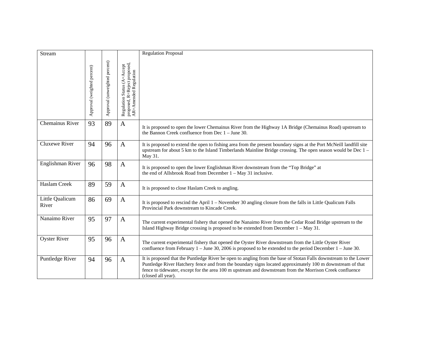| Stream                   |                             |                               |                                                                                      | <b>Regulation Proposal</b>                                                                                                                                                                                                                                                                                                                                      |
|--------------------------|-----------------------------|-------------------------------|--------------------------------------------------------------------------------------|-----------------------------------------------------------------------------------------------------------------------------------------------------------------------------------------------------------------------------------------------------------------------------------------------------------------------------------------------------------------|
|                          | Approval (weighted percent) | Approval (unweighted percent) | Regulation Status (A=Accept<br>proposed, R=Reject proposed,<br>AR=Amended Regulation |                                                                                                                                                                                                                                                                                                                                                                 |
| Chemainus River          | 93                          | 89                            | $\mathbf{A}$                                                                         | It is proposed to open the lower Chemainus River from the Highway 1A Bridge (Chemainus Road) upstream to<br>the Bannon Creek confluence from Dec $1 -$ June 30.                                                                                                                                                                                                 |
| Cluxewe River            | 94                          | 96                            | $\mathbf{A}$                                                                         | It is proposed to extend the open to fishing area from the present boundary signs at the Port McNeill landfill site<br>upstream for about 5 km to the Island Timberlands Mainline Bridge crossing. The open season would be Dec 1 –<br>May 31.                                                                                                                  |
| Englishman River         | 96                          | 98                            | $\mathbf{A}$                                                                         | It is proposed to open the lower Englishman River downstream from the "Top Bridge" at<br>the end of Allsbrook Road from December $1 - May 31$ inclusive.                                                                                                                                                                                                        |
| Haslam Creek             | 89                          | 59                            | $\mathbf{A}$                                                                         | It is proposed to close Haslam Creek to angling.                                                                                                                                                                                                                                                                                                                |
| Little Qualicum<br>River | 86                          | 69                            | $\mathbf{A}$                                                                         | It is proposed to rescind the April 1 – November 30 angling closure from the falls in Little Qualicum Falls<br>Provincial Park downstream to Kincade Creek.                                                                                                                                                                                                     |
| Nanaimo River            | 95                          | 97                            | $\mathbf{A}$                                                                         | The current experimental fishery that opened the Nanaimo River from the Cedar Road Bridge upstream to the<br>Island Highway Bridge crossing is proposed to be extended from December 1 - May 31.                                                                                                                                                                |
| <b>Oyster River</b>      | 95                          | 96                            | $\mathbf{A}$                                                                         | The current experimental fishery that opened the Oyster River downstream from the Little Oyster River<br>confluence from February $1 -$ June 30, 2006 is proposed to be extended to the period December $1 -$ June 30.                                                                                                                                          |
| Puntledge River          | 94                          | 96                            | $\mathbf{A}$                                                                         | It is proposed that the Puntledge River be open to angling from the base of Stotan Falls downstream to the Lower<br>Puntledge River Hatchery fence and from the boundary signs located approximately 100 m downstream of that<br>fence to tidewater, except for the area 100 m upstream and downstream from the Morrison Creek confluence<br>(closed all year). |